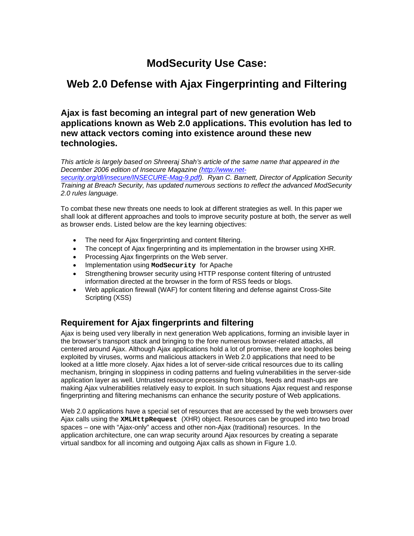# **ModSecurity Use Case:**

# **Web 2.0 Defense with Ajax Fingerprinting and Filtering**

**Ajax is fast becoming an integral part of new generation Web applications known as Web 2.0 applications. This evolution has led to new attack vectors coming into existence around these new technologies.** 

*This article is largely based on Shreeraj Shah's article of the same name that appeared in the December 2006 edition of Insecure Magazine (http://www.net-*

*security.org/dl/insecure/INSECURE-Mag-9.pdf). Ryan C. Barnett, Director of Application Security Training at Breach Security, has updated numerous sections to reflect the advanced ModSecurity 2.0 rules language.* 

To combat these new threats one needs to look at different strategies as well. In this paper we shall look at different approaches and tools to improve security posture at both, the server as well as browser ends. Listed below are the key learning objectives:

- The need for Ajax fingerprinting and content filtering.
- The concept of Ajax fingerprinting and its implementation in the browser using XHR.
- Processing Ajax fingerprints on the Web server.
- Implementation using **ModSecurity** for Apache
- Strengthening browser security using HTTP response content filtering of untrusted information directed at the browser in the form of RSS feeds or blogs.
- Web application firewall (WAF) for content filtering and defense against Cross-Site Scripting (XSS)

## **Requirement for Ajax fingerprints and filtering**

Ajax is being used very liberally in next generation Web applications, forming an invisible layer in the browser's transport stack and bringing to the fore numerous browser-related attacks, all centered around Ajax. Although Ajax applications hold a lot of promise, there are loopholes being exploited by viruses, worms and malicious attackers in Web 2.0 applications that need to be looked at a little more closely. Ajax hides a lot of server-side critical resources due to its calling mechanism, bringing in sloppiness in coding patterns and fueling vulnerabilities in the server-side application layer as well. Untrusted resource processing from blogs, feeds and mash-ups are making Ajax vulnerabilities relatively easy to exploit. In such situations Ajax request and response fingerprinting and filtering mechanisms can enhance the security posture of Web applications.

Web 2.0 applications have a special set of resources that are accessed by the web browsers over Ajax calls using the **XMLHttpRequest** (XHR) object. Resources can be grouped into two broad spaces – one with "Ajax-only" access and other non-Ajax (traditional) resources. In the application architecture, one can wrap security around Ajax resources by creating a separate virtual sandbox for all incoming and outgoing Ajax calls as shown in Figure 1.0.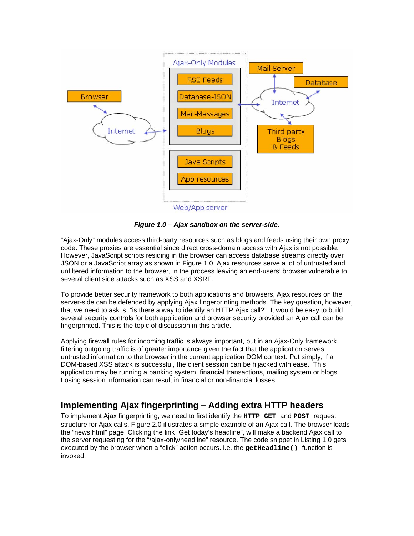

*Figure 1.0 – Ajax sandbox on the server-side.* 

"Ajax-Only" modules access third-party resources such as blogs and feeds using their own proxy code. These proxies are essential since direct cross-domain access with Ajax is not possible. However, JavaScript scripts residing in the browser can access database streams directly over JSON or a JavaScript array as shown in Figure 1.0. Ajax resources serve a lot of untrusted and unfiltered information to the browser, in the process leaving an end-users' browser vulnerable to several client side attacks such as XSS and XSRF.

To provide better security framework to both applications and browsers, Ajax resources on the server-side can be defended by applying Ajax fingerprinting methods. The key question, however, that we need to ask is, "is there a way to identify an HTTP Ajax call?" It would be easy to build several security controls for both application and browser security provided an Ajax call can be fingerprinted. This is the topic of discussion in this article.

Applying firewall rules for incoming traffic is always important, but in an Ajax-Only framework, filtering outgoing traffic is of greater importance given the fact that the application serves untrusted information to the browser in the current application DOM context. Put simply, if a DOM-based XSS attack is successful, the client session can be hijacked with ease. This application may be running a banking system, financial transactions, mailing system or blogs. Losing session information can result in financial or non-financial losses.

# **Implementing Ajax fingerprinting – Adding extra HTTP headers**

To implement Ajax fingerprinting, we need to first identify the **HTTP GET** and **POST** request structure for Ajax calls. Figure 2.0 illustrates a simple example of an Ajax call. The browser loads the "news.html" page. Clicking the link "Get today's headline", will make a backend Ajax call to the server requesting for the "/ajax-only/headline" resource. The code snippet in Listing 1.0 gets executed by the browser when a "click" action occurs. i.e. the get Headline () function is invoked.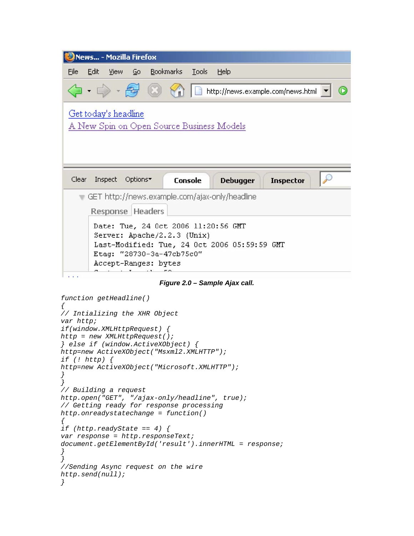

*Figure 2.0 – Sample Ajax call.* 

```
function getHeadline() 
{ 
// Intializing the XHR Object 
var http; 
if(window.XMLHttpRequest) { 
http = new XMLHttpRequest(); 
} else if (window.ActiveXObject) { 
http=new ActiveXObject("Msxml2.XMLHTTP"); 
if (! http) { 
http=new ActiveXObject("Microsoft.XMLHTTP"); 
} 
} 
// Building a request 
http.open("GET", "/ajax-only/headline", true); 
// Getting ready for response processing 
http.onreadystatechange = function() 
{ 
if (http.readyState == 4) { 
var response = http.responseText; 
document.getElementById('result').innerHTML = response; 
} 
} 
//Sending Async request on the wire 
http.send(null); 
}
```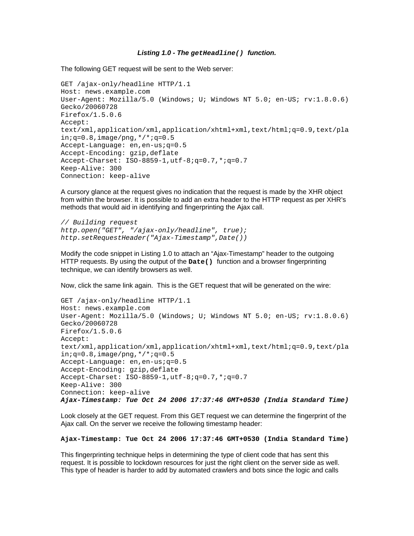#### *Listing 1.0 - The getHeadline() function.*

The following GET request will be sent to the Web server:

```
GET /ajax-only/headline HTTP/1.1 
Host: news.example.com 
User-Agent: Mozilla/5.0 (Windows; U; Windows NT 5.0; en-US; rv:1.8.0.6) 
Gecko/20060728 
Firefox/1.5.0.6 
Accept: 
text/xml,application/xml,application/xhtml+xml,text/html;q=0.9,text/pla
in; q=0.8, image/png, */*; q=0.5Accept-Language: en,en-us;q=0.5 
Accept-Encoding: gzip,deflate 
Accept-Charset: ISO-8859-1,utf-8;q=0.7,*;q=0.7 
Keep-Alive: 300 
Connection: keep-alive
```
A cursory glance at the request gives no indication that the request is made by the XHR object from within the browser. It is possible to add an extra header to the HTTP request as per XHR's methods that would aid in identifying and fingerprinting the Ajax call.

```
// Building request 
http.open("GET", "/ajax-only/headline", true); 
http.setRequestHeader("Ajax-Timestamp",Date())
```
Modify the code snippet in Listing 1.0 to attach an "Ajax-Timestamp" header to the outgoing HTTP requests. By using the output of the **Date()** function and a browser fingerprinting technique, we can identify browsers as well.

Now, click the same link again. This is the GET request that will be generated on the wire:

```
GET /ajax-only/headline HTTP/1.1 
Host: news.example.com 
User-Agent: Mozilla/5.0 (Windows; U; Windows NT 5.0; en-US; rv:1.8.0.6) 
Gecko/20060728 
Firefox/1.5.0.6 
Accept: 
text/xml,application/xml,application/xhtml+xml,text/html;q=0.9,text/pla
in; q=0.8, image/png, */*; q=0.5Accept-Language: en,en-us;q=0.5 
Accept-Encoding: gzip,deflate 
Accept-Charset: ISO-8859-1,utf-8;q=0.7,*;q=0.7 
Keep-Alive: 300 
Connection: keep-alive 
Ajax-Timestamp: Tue Oct 24 2006 17:37:46 GMT+0530 (India Standard Time)
```
Look closely at the GET request. From this GET request we can determine the fingerprint of the Ajax call. On the server we receive the following timestamp header:

#### **Ajax-Timestamp: Tue Oct 24 2006 17:37:46 GMT+0530 (India Standard Time)**

This fingerprinting technique helps in determining the type of client code that has sent this request. It is possible to lockdown resources for just the right client on the server side as well. This type of header is harder to add by automated crawlers and bots since the logic and calls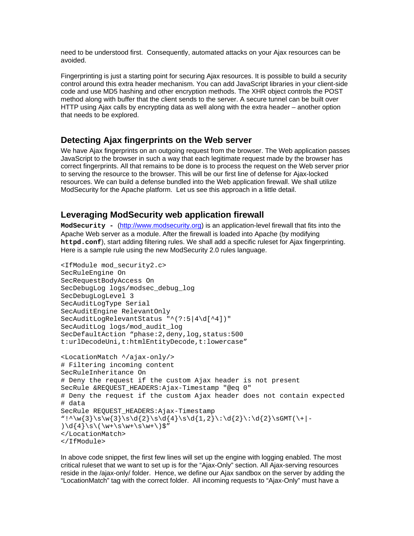need to be understood first. Consequently, automated attacks on your Ajax resources can be avoided.

Fingerprinting is just a starting point for securing Ajax resources. It is possible to build a security control around this extra header mechanism. You can add JavaScript libraries in your client-side code and use MD5 hashing and other encryption methods. The XHR object controls the POST method along with buffer that the client sends to the server. A secure tunnel can be built over HTTP using Ajax calls by encrypting data as well along with the extra header – another option that needs to be explored.

### **Detecting Ajax fingerprints on the Web server**

We have Ajax fingerprints on an outgoing request from the browser. The Web application passes JavaScript to the browser in such a way that each legitimate request made by the browser has correct fingerprints. All that remains to be done is to process the request on the Web server prior to serving the resource to the browser. This will be our first line of defense for Ajax-locked resources. We can build a defense bundled into the Web application firewall. We shall utilize ModSecurity for the Apache platform. Let us see this approach in a little detail.

## **Leveraging ModSecurity web application firewall**

**ModSecurity -** (http://www.modsecurity.org) is an application-level firewall that fits into the Apache Web server as a module. After the firewall is loaded into Apache (by modifying **httpd.conf**), start adding filtering rules. We shall add a specific ruleset for Ajax fingerprinting. Here is a sample rule using the new ModSecurity 2.0 rules language.

```
<IfModule mod_security2.c> 
SecRuleEngine On 
SecRequestBodyAccess On 
SecDebugLog logs/modsec_debug_log 
SecDebugLogLevel 3 
SecAuditLogType Serial 
SecAuditEngine RelevantOnly 
SecAuditLogRelevantStatus "^(?:5|4\d[^4])" 
SecAuditLog logs/mod_audit_log 
SecDefaultAction "phase:2,deny,log,status:500
t:urlDecodeUni,t:htmlEntityDecode,t:lowercase" 
<LocationMatch ^/ajax-only/> 
# Filtering incoming content 
SecRuleInheritance On 
# Deny the request if the custom Ajax header is not present 
SecRule &REQUEST_HEADERS:Ajax-Timestamp "@eq 0" 
# Deny the request if the custom Ajax header does not contain expected 
# data 
SecRule REQUEST HEADERS: Ajax-Timestamp
"!^\w{3}\s\w{3}\s\d{2}\s\d{4}\s\d{1,2}\:\d{2}\:\d{2}\sGMT(\+|-
)\d{4}\s\(\w+\s\w+\s\w+\)$"
</LocationMatch> 
</IfModule>
```
In above code snippet, the first few lines will set up the engine with logging enabled. The most critical ruleset that we want to set up is for the "Ajax-Only" section. All Ajax-serving resources reside in the /ajax-only/ folder. Hence, we define our Ajax sandbox on the server by adding the "LocationMatch" tag with the correct folder. All incoming requests to "Ajax-Only" must have a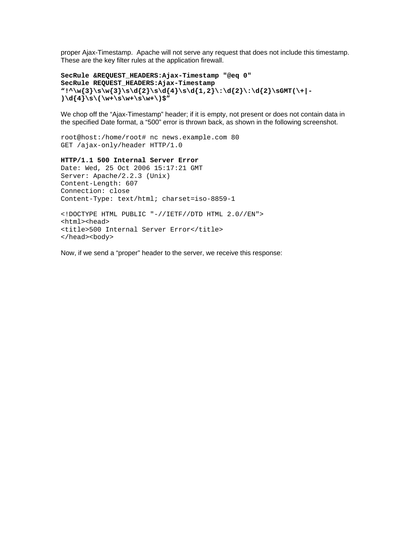proper Ajax-Timestamp. Apache will not serve any request that does not include this timestamp. These are the key filter rules at the application firewall.

```
SecRule &REQUEST_HEADERS:Ajax-Timestamp "@eq 0" 
SecRule REQUEST_HEADERS:Ajax-Timestamp 
"!^\w{3}\s\w{3}\s\d{2}\s\d{4}\s\d{1,2}\:\d{2}\:\d{2}\sGMT(\+|-
)\d{4}\s\(\w+\s\w+\s\w+\)$"
```
We chop off the "Ajax-Timestamp" header; if it is empty, not present or does not contain data in the specified Date format, a "500" error is thrown back, as shown in the following screenshot.

```
root@host:/home/root# nc news.example.com 80 
GET /ajax-only/header HTTP/1.0
```
#### **HTTP/1.1 500 Internal Server Error**

```
Date: Wed, 25 Oct 2006 15:17:21 GMT 
Server: Apache/2.2.3 (Unix) 
Content-Length: 607 
Connection: close 
Content-Type: text/html; charset=iso-8859-1
```

```
<!DOCTYPE HTML PUBLIC "-//IETF//DTD HTML 2.0//EN"> 
<html><head> 
<title>500 Internal Server Error</title> 
</head><body>
```
Now, if we send a "proper" header to the server, we receive this response: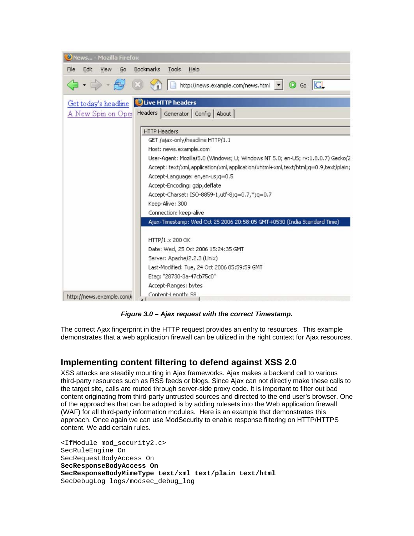| News - Mozilla Firefox    |      |    |                                                                                    |
|---------------------------|------|----|------------------------------------------------------------------------------------|
| Edit<br>File              | View | Go | Bookmarks<br>Tools<br>Help                                                         |
|                           |      |    | http://news.example.com/news.html v G Go G                                         |
|                           |      |    | Get today's headline ULive HTTP headers                                            |
| A New Spin on Oper        |      |    | Headers<br>Generator   Config   About                                              |
|                           |      |    | <b>HTTP Headers</b>                                                                |
|                           |      |    | GET /ajax-only/headline HTTP/1.1                                                   |
|                           |      |    | Host: news.example.com                                                             |
|                           |      |    | User-Agent: Mozilla/5.0 (Windows; U; Windows NT 5.0; en-US; rv:1.8.0.7) Gecko/2    |
|                           |      |    | Accept: text/xml,application/xml,application/xhtml+xml,text/html;q=0.9,text/plain; |
|                           |      |    | Accept-Language: en, en-us; q=0.5                                                  |
|                           |      |    | Accept-Encoding: gzip, deflate                                                     |
|                           |      |    | Accept-Charset: ISO-8859-1, utf-8; q=0.7,*; q=0.7                                  |
|                           |      |    | Keep-Alive: 300                                                                    |
|                           |      |    | Connection: keep-alive                                                             |
|                           |      |    | Ajax-Timestamp: Wed Oct 25 2006 20:58:05 GMT+0530 (India Standard Time)            |
|                           |      |    | HTTP/1.x 200 OK                                                                    |
|                           |      |    | Date: Wed, 25 Oct 2006 15:24:35 GMT                                                |
|                           |      |    | Server: Apache/2.2.3 (Unix)                                                        |
|                           |      |    | Last-Modified: Tue, 24 Oct 2006 05:59:59 GMT                                       |
|                           |      |    | Etag: "28730-3a-47cb75c0"                                                          |
|                           |      |    | Accept-Ranges: bytes                                                               |
| http://news.example.com/i |      |    | Content-Leogth: 58<br>$\overline{ }$                                               |

*Figure 3.0 – Ajax request with the correct Timestamp.* 

The correct Ajax fingerprint in the HTTP request provides an entry to resources. This example demonstrates that a web application firewall can be utilized in the right context for Ajax resources.

## **Implementing content filtering to defend against XSS 2.0**

XSS attacks are steadily mounting in Ajax frameworks. Ajax makes a backend call to various third-party resources such as RSS feeds or blogs. Since Ajax can not directly make these calls to the target site, calls are routed through server-side proxy code. It is important to filter out bad content originating from third-party untrusted sources and directed to the end user's browser. One of the approaches that can be adopted is by adding rulesets into the Web application firewall (WAF) for all third-party information modules. Here is an example that demonstrates this approach. Once again we can use ModSecurity to enable response filtering on HTTP/HTTPS content. We add certain rules.

<IfModule mod\_security2.c> SecRuleEngine On SecRequestBodyAccess On **SecResponseBodyAccess On SecResponseBodyMimeType text/xml text/plain text/html**  SecDebugLog logs/modsec debug log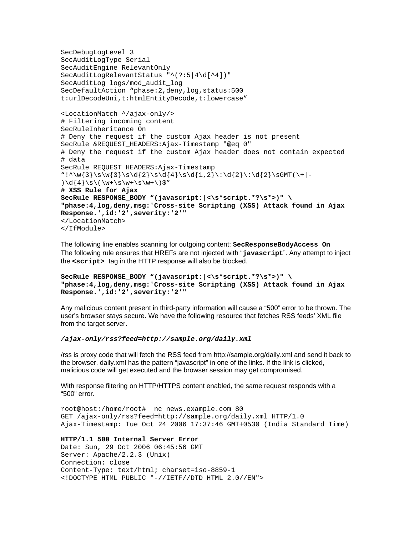```
SecDebugLogLevel 3 
SecAuditLogType Serial 
SecAuditEngine RelevantOnly 
SecAuditLogRelevantStatus "^(?:5|4\d[^4])" 
SecAuditLog logs/mod_audit_log 
SecDefaultAction "phase:2,deny,log,status:500
t:urlDecodeUni,t:htmlEntityDecode,t:lowercase" 
<LocationMatch ^/ajax-only/> 
# Filtering incoming content 
SecRuleInheritance On 
# Deny the request if the custom Ajax header is not present 
SecRule &REQUEST_HEADERS:Ajax-Timestamp "@eq 0" 
# Deny the request if the custom Ajax header does not contain expected 
# data 
SecRule REQUEST_HEADERS:Ajax-Timestamp 
"!^\w{3}\s\w{3}\s\d{2}\s\d{4}\s\d{1,2}\:\d{2}\:\d{2}\sGMT(\+|-
)\d{4}\s\(\w+\s\w+\s\w+\s\w+\)# XSS Rule for Ajax 
SecRule RESPONSE_BODY "(javascript:|<\s*script.*?\s*>)" \ 
"phase:4,log,deny,msg:'Cross-site Scripting (XSS) Attack found in Ajax 
Response.',id:'2',severity:'2'" 
</LocationMatch> 
</IfModule>
```
The following line enables scanning for outgoing content: **SecResponseBodyAccess On**  The following rule ensures that HREFs are not injected with "**javascript**". Any attempt to inject the **<script>** tag in the HTTP response will also be blocked.

```
SecRule RESPONSE_BODY "(javascript:|<\s*script.*?\s*>)" \ 
"phase:4,log,deny,msg:'Cross-site Scripting (XSS) Attack found in Ajax 
Response.',id:'2',severity:'2'"
```
Any malicious content present in third-party information will cause a "500" error to be thrown. The user's browser stays secure. We have the following resource that fetches RSS feeds' XML file from the target server.

*/ajax-only/rss?feed=http://sample.org/daily.xml* 

/rss is proxy code that will fetch the RSS feed from http://sample.org/daily.xml and send it back to the browser. daily.xml has the pattern "javascript" in one of the links. If the link is clicked, malicious code will get executed and the browser session may get compromised.

With response filtering on HTTP/HTTPS content enabled, the same request responds with a "500" error.

```
root@host:/home/root# nc news.example.com 80 
GET /ajax-only/rss?feed=http://sample.org/daily.xml HTTP/1.0 
Ajax-Timestamp: Tue Oct 24 2006 17:37:46 GMT+0530 (India Standard Time)
```
#### **HTTP/1.1 500 Internal Server Error**

Date: Sun, 29 Oct 2006 06:45:56 GMT Server: Apache/2.2.3 (Unix) Connection: close Content-Type: text/html; charset=iso-8859-1 <!DOCTYPE HTML PUBLIC "-//IETF//DTD HTML 2.0//EN">